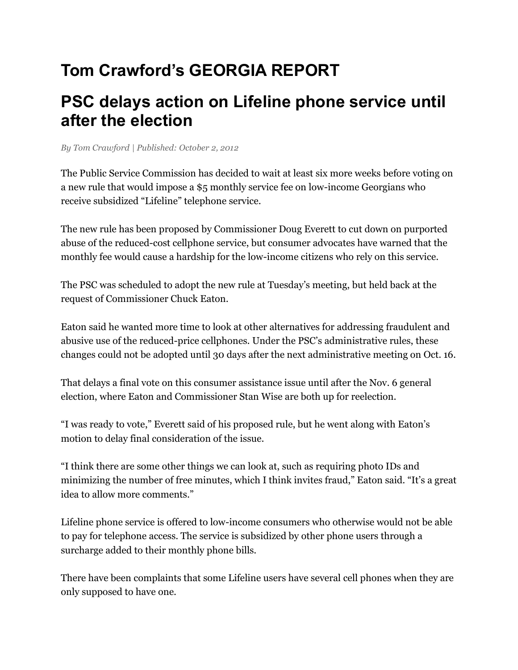## **Tom Crawford's GEORGIA REPORT**

## **PSC delays action on Lifeline phone service until after the election**

*By Tom Crawford | Published: October 2, 2012*

The Public Service Commission has decided to wait at least six more weeks before voting on a new rule that would impose a \$5 monthly service fee on low-income Georgians who receive subsidized "Lifeline" telephone service.

The new rule has been proposed by Commissioner Doug Everett to cut down on purported abuse of the reduced-cost cellphone service, but consumer advocates have warned that the monthly fee would cause a hardship for the low-income citizens who rely on this service.

The PSC was scheduled to adopt the new rule at Tuesday's meeting, but held back at the request of Commissioner Chuck Eaton.

Eaton said he wanted more time to look at other alternatives for addressing fraudulent and abusive use of the reduced-price cellphones. Under the PSC's administrative rules, these changes could not be adopted until 30 days after the next administrative meeting on Oct. 16.

That delays a final vote on this consumer assistance issue until after the Nov. 6 general election, where Eaton and Commissioner Stan Wise are both up for reelection.

"I was ready to vote," Everett said of his proposed rule, but he went along with Eaton's motion to delay final consideration of the issue.

"I think there are some other things we can look at, such as requiring photo IDs and minimizing the number of free minutes, which I think invites fraud," Eaton said. "It's a great idea to allow more comments."

Lifeline phone service is offered to low-income consumers who otherwise would not be able to pay for telephone access. The service is subsidized by other phone users through a surcharge added to their monthly phone bills.

There have been complaints that some Lifeline users have several cell phones when they are only supposed to have one.